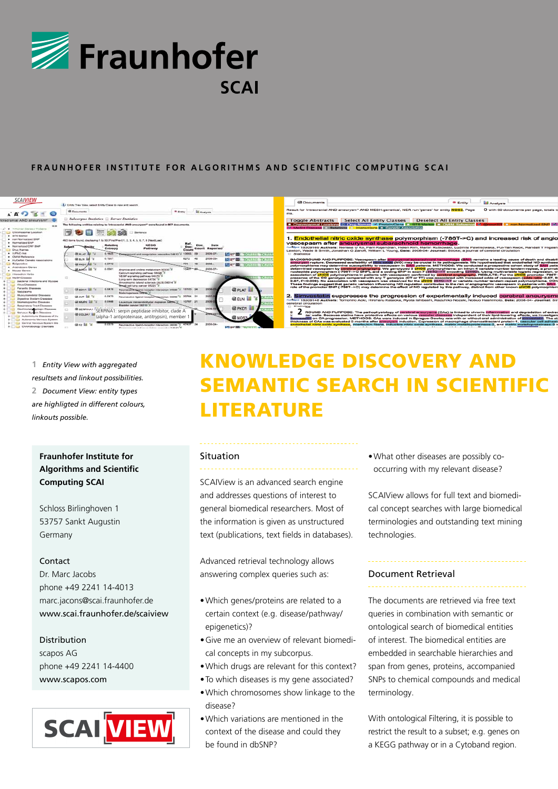

## FRAUNHOFER INSTITUTE FOR ALGORITHMS AND SCIENTIFIC COMPUTING SCAI



**1** *Entity View with aggregated resultsets and linkout possibilities.* **2** *Document View: entity types are highligted in different colours, linkouts possible.*

# **Fraunhofer Institute for Algorithms and Scientific Computing SCAI**

Schloss Birlinghoven 1 53757 Sankt Augustin Germany

#### Contact

Dr. Marc Jacobs phone +49 2241 14-4013 marc.jacons@scai.fraunhofer.de www.scai.fraunhofer.de/scaiview

### Distribution

scapos AG phone +49 2241 14-4400 www.scapos.com



# knowledge discovery and semantic search in scientific **LITERATURE**

#### Situation

SCAIView is an advanced search engine and addresses questions of interest to general biomedical researchers. Most of the information is given as unstructured text (publications, text fields in databases).

Advanced retrieval technology allows answering complex queries such as:

- Which genes/proteins are related to a certain context (e.g. disease/pathway/ epigenetics)?
- Give me an overview of relevant biomedical concepts in my subcorpus.
- Which drugs are relevant for this context?
- To which diseases is my gene associated?
- Which chromosomes show linkage to the disease?
- Which variations are mentioned in the context of the disease and could they be found in dbSNP?

• What other diseases are possibly cooccurring with my relevant disease?

SCAIView allows for full text and biomedical concept searches with large biomedical terminologies and outstanding text mining technologies.

### Document Retrieval

The documents are retrieved via free text queries in combination with semantic or ontological search of biomedical entities of interest. The biomedical entities are embedded in searchable hierarchies and span from genes, proteins, accompanied SNPs to chemical compounds and medical terminology.

With ontological Filtering, it is possible to restrict the result to a subset; e.g. genes on a KEGG pathway or in a Cytoband region.